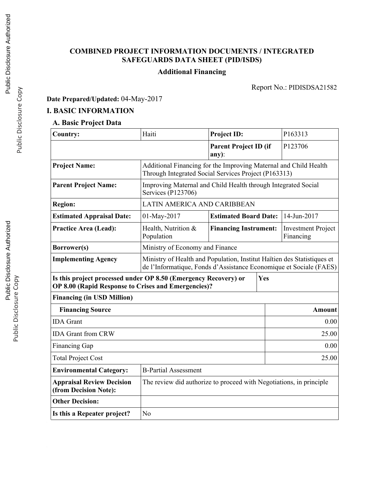# **COMBINED PROJECT INFORMATION DOCUMENTS / INTEGRATED SAFEGUARDS DATA SHEET (PID/ISDS)**

# **Additional Financing**

Report No.: PIDISDSA21582

**Date Prepared/Updated:** 04-May-2017

## **I. BASIC INFORMATION**

## **A. Basic Project Data**

| <b>Country:</b>                                               | Haiti                                                                                                                                         | <b>Project ID:</b>                    | P163313                                |             |  |  |
|---------------------------------------------------------------|-----------------------------------------------------------------------------------------------------------------------------------------------|---------------------------------------|----------------------------------------|-------------|--|--|
|                                                               |                                                                                                                                               | <b>Parent Project ID (if</b><br>any): |                                        | P123706     |  |  |
| <b>Project Name:</b>                                          | Additional Financing for the Improving Maternal and Child Health<br>Through Integrated Social Services Project (P163313)                      |                                       |                                        |             |  |  |
| <b>Parent Project Name:</b>                                   | Improving Maternal and Child Health through Integrated Social<br>Services (P123706)                                                           |                                       |                                        |             |  |  |
| <b>Region:</b>                                                | LATIN AMERICA AND CARIBBEAN                                                                                                                   |                                       |                                        |             |  |  |
| <b>Estimated Appraisal Date:</b>                              | 01-May-2017                                                                                                                                   | <b>Estimated Board Date:</b>          |                                        | 14-Jun-2017 |  |  |
| <b>Practice Area (Lead):</b>                                  | Health, Nutrition &<br>Population                                                                                                             | <b>Financing Instrument:</b>          | <b>Investment Project</b><br>Financing |             |  |  |
| Borrower(s)                                                   | Ministry of Economy and Finance                                                                                                               |                                       |                                        |             |  |  |
| <b>Implementing Agency</b>                                    | Ministry of Health and Population, Institut Haïtien des Statistiques et<br>de l'Informatique, Fonds d'Assistance Economique et Sociale (FAES) |                                       |                                        |             |  |  |
|                                                               | Is this project processed under OP 8.50 (Emergency Recovery) or<br>Yes<br>OP 8.00 (Rapid Response to Crises and Emergencies)?                 |                                       |                                        |             |  |  |
| <b>Financing (in USD Million)</b>                             |                                                                                                                                               |                                       |                                        |             |  |  |
| <b>Financing Source</b>                                       |                                                                                                                                               |                                       |                                        | Amount      |  |  |
| <b>IDA</b> Grant                                              |                                                                                                                                               |                                       |                                        | 0.00        |  |  |
| <b>IDA Grant from CRW</b>                                     |                                                                                                                                               |                                       |                                        | 25.00       |  |  |
| <b>Financing Gap</b>                                          | 0.00                                                                                                                                          |                                       |                                        |             |  |  |
| <b>Total Project Cost</b>                                     | 25.00                                                                                                                                         |                                       |                                        |             |  |  |
| <b>B-Partial Assessment</b><br><b>Environmental Category:</b> |                                                                                                                                               |                                       |                                        |             |  |  |
| <b>Appraisal Review Decision</b><br>(from Decision Note):     | The review did authorize to proceed with Negotiations, in principle                                                                           |                                       |                                        |             |  |  |
| <b>Other Decision:</b>                                        |                                                                                                                                               |                                       |                                        |             |  |  |
| Is this a Repeater project?                                   | No                                                                                                                                            |                                       |                                        |             |  |  |

Public Disclosure Copy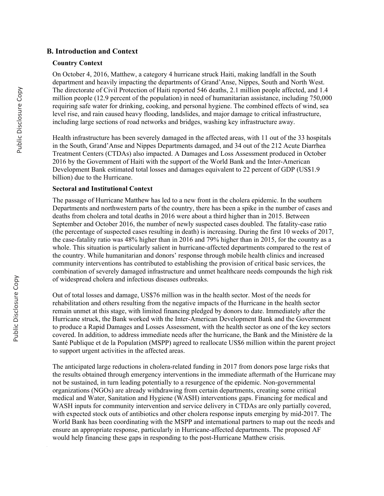### **B. Introduction and Context**

#### **Country Context**

On October 4, 2016, Matthew, a category 4 hurricane struck Haiti, making landfall in the South department and heavily impacting the departments of Grand'Anse, Nippes, South and North West. The directorate of Civil Protection of Haiti reported 546 deaths, 2.1 million people affected, and 1.4 million people (12.9 percent of the population) in need of humanitarian assistance, including 750,000 requiring safe water for drinking, cooking, and personal hygiene. The combined effects of wind, sea level rise, and rain caused heavy flooding, landslides, and major damage to critical infrastructure, including large sections of road networks and bridges, washing key infrastructure away.

Health infrastructure has been severely damaged in the affected areas, with 11 out of the 33 hospitals in the South, Grand'Anse and Nippes Departments damaged, and 34 out of the 212 Acute Diarrhea Treatment Centers (CTDAs) also impacted. A Damages and Loss Assessment produced in October 2016 by the Government of Haiti with the support of the World Bank and the Inter-American Development Bank estimated total losses and damages equivalent to 22 percent of GDP (US\$1.9 billion) due to the Hurricane.

#### **Sectoral and Institutional Context**

The passage of Hurricane Matthew has led to a new front in the cholera epidemic. In the southern Departments and northwestern parts of the country, there has been a spike in the number of cases and deaths from cholera and total deaths in 2016 were about a third higher than in 2015. Between September and October 2016, the number of newly suspected cases doubled. The fatality-case ratio (the percentage of suspected cases resulting in death) is increasing. During the first 10 weeks of 2017, the case-fatality ratio was 48% higher than in 2016 and 79% higher than in 2015, for the country as a whole. This situation is particularly salient in hurricane-affected departments compared to the rest of the country. While humanitarian and donors' response through mobile health clinics and increased community interventions has contributed to establishing the provision of critical basic services, the combination of severely damaged infrastructure and unmet healthcare needs compounds the high risk of widespread cholera and infectious diseases outbreaks.

Out of total losses and damage, US\$76 million was in the health sector. Most of the needs for rehabilitation and others resulting from the negative impacts of the Hurricane in the health sector remain unmet at this stage, with limited financing pledged by donors to date. Immediately after the Hurricane struck, the Bank worked with the Inter-American Development Bank and the Government to produce a Rapid Damages and Losses Assessment, with the health sector as one of the key sectors covered. In addition, to address immediate needs after the hurricane, the Bank and the Ministère de la Santé Publique et de la Population (MSPP) agreed to reallocate US\$6 million within the parent project to support urgent activities in the affected areas.

The anticipated large reductions in cholera-related funding in 2017 from donors pose large risks that the results obtained through emergency interventions in the immediate aftermath of the Hurricane may not be sustained, in turn leading potentially to a resurgence of the epidemic. Non-governmental organizations (NGOs) are already withdrawing from certain departments, creating some critical medical and Water, Sanitation and Hygiene (WASH) interventions gaps. Financing for medical and WASH inputs for community intervention and service delivery in CTDAs are only partially covered, with expected stock outs of antibiotics and other cholera response inputs emerging by mid-2017. The World Bank has been coordinating with the MSPP and international partners to map out the needs and ensure an appropriate response, particularly in Hurricane-affected departments. The proposed AF would help financing these gaps in responding to the post-Hurricane Matthew crisis.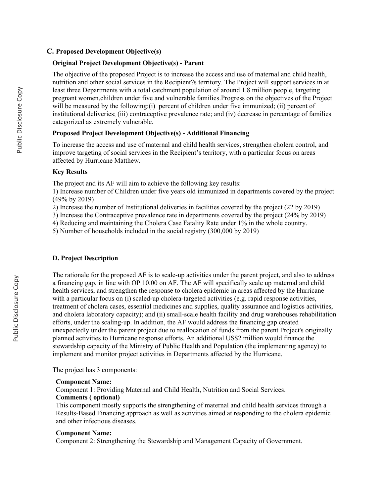#### **C. Proposed Development Objective(s)**

#### **Original Project Development Objective(s) - Parent**

The objective of the proposed Project is to increase the access and use of maternal and child health, nutrition and other social services in the Recipient?s territory. The Project will support services in at least three Departments with a total catchment population of around 1.8 million people, targeting pregnant women,children under five and vulnerable families.Progress on the objectives of the Project will be measured by the following:(i) percent of children under five immunized; (ii) percent of institutional deliveries; (iii) contraceptive prevalence rate; and (iv) decrease in percentage of families categorized as extremely vulnerable.

#### **Proposed Project Development Objective(s) - Additional Financing**

To increase the access and use of maternal and child health services, strengthen cholera control, and improve targeting of social services in the Recipient's territory, with a particular focus on areas affected by Hurricane Matthew.

#### **Key Results**

The project and its AF will aim to achieve the following key results:

1) Increase number of Children under five years old immunized in departments covered by the project (49% by 2019)

2) Increase the number of Institutional deliveries in facilities covered by the project (22 by 2019)

3) Increase the Contraceptive prevalence rate in departments covered by the project (24% by 2019)

4) Reducing and maintaining the Cholera Case Fatality Rate under 1% in the whole country.

5) Number of households included in the social registry (300,000 by 2019)

#### **D. Project Description**

The rationale for the proposed AF is to scale-up activities under the parent project, and also to address a financing gap, in line with OP 10.00 on AF. The AF will specifically scale up maternal and child health services, and strengthen the response to cholera epidemic in areas affected by the Hurricane with a particular focus on (i) scaled-up cholera-targeted activities (e.g. rapid response activities, treatment of cholera cases, essential medicines and supplies, quality assurance and logistics activities, and cholera laboratory capacity); and (ii) small-scale health facility and drug warehouses rehabilitation efforts, under the scaling-up. In addition, the AF would address the financing gap created unexpectedly under the parent project due to reallocation of funds from the parent Project's originally planned activities to Hurricane response efforts. An additional US\$2 million would finance the stewardship capacity of the Ministry of Public Health and Population (the implementing agency) to implement and monitor project activities in Departments affected by the Hurricane.

The project has 3 components:

#### **Component Name:**

Component 1: Providing Maternal and Child Health, Nutrition and Social Services.

#### **Comments ( optional)**

This component mostly supports the strengthening of maternal and child health services through a Results-Based Financing approach as well as activities aimed at responding to the cholera epidemic and other infectious diseases.

#### **Component Name:**

Component 2: Strengthening the Stewardship and Management Capacity of Government.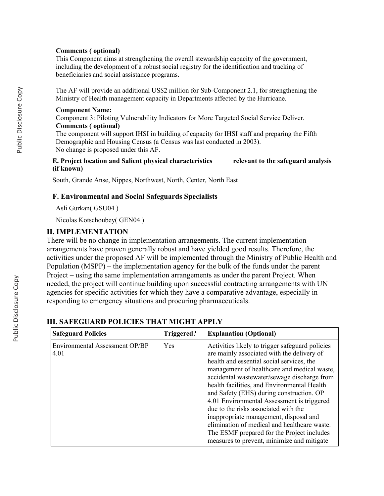#### **Comments ( optional)**

This Component aims at strengthening the overall stewardship capacity of the government, including the development of a robust social registry for the identification and tracking of beneficiaries and social assistance programs.

The AF will provide an additional US\$2 million for Sub-Component 2.1, for strengthening the Ministry of Health management capacity in Departments affected by the Hurricane.

#### **Component Name:**

Component 3: Piloting Vulnerability Indicators for More Targeted Social Service Deliver. **Comments ( optional)**

The component will support IHSI in building of capacity for IHSI staff and preparing the Fifth Demographic and Housing Census (a Census was last conducted in 2003). No change is proposed under this AF.

#### **E. Project location and Salient physical characteristics relevant to the safeguard analysis (if known)**

South, Grande Anse, Nippes, Northwest, North, Center, North East

### **F. Environmental and Social Safeguards Specialists**

Asli Gurkan( GSU04 )

Nicolas Kotschoubey( GEN04 )

## **II. IMPLEMENTATION**

There will be no change in implementation arrangements. The current implementation arrangements have proven generally robust and have yielded good results. Therefore, the activities under the proposed AF will be implemented through the Ministry of Public Health and Population (MSPP) – the implementation agency for the bulk of the funds under the parent Project – using the same implementation arrangements as under the parent Project. When needed, the project will continue building upon successful contracting arrangements with UN agencies for specific activities for which they have a comparative advantage, especially in responding to emergency situations and procuring pharmaceuticals.

| <b>Safeguard Policies</b>              | Triggered? | <b>Explanation (Optional)</b>                                                                                                                                                                                                                                                                                                                                                                                                                                                                                                                                                                                   |
|----------------------------------------|------------|-----------------------------------------------------------------------------------------------------------------------------------------------------------------------------------------------------------------------------------------------------------------------------------------------------------------------------------------------------------------------------------------------------------------------------------------------------------------------------------------------------------------------------------------------------------------------------------------------------------------|
| Environmental Assessment OP/BP<br>4.01 | Yes        | Activities likely to trigger safeguard policies<br>are mainly associated with the delivery of<br>health and essential social services, the<br>management of healthcare and medical waste,<br>accidental wastewater/sewage discharge from<br>health facilities, and Environmental Health<br>and Safety (EHS) during construction. OP<br>4.01 Environmental Assessment is triggered<br>due to the risks associated with the<br>inappropriate management, disposal and<br>elimination of medical and healthcare waste.<br>The ESMF prepared for the Project includes<br>measures to prevent, minimize and mitigate |

## **III. SAFEGUARD POLICIES THAT MIGHT APPLY**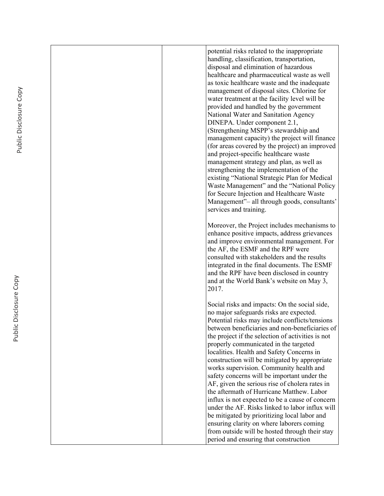|  | potential risks related to the inappropriate<br>handling, classification, transportation,<br>disposal and elimination of hazardous<br>healthcare and pharmaceutical waste as well<br>as toxic healthcare waste and the inadequate<br>management of disposal sites. Chlorine for<br>water treatment at the facility level will be<br>provided and handled by the government<br>National Water and Sanitation Agency<br>DINEPA. Under component 2.1,<br>(Strengthening MSPP's stewardship and<br>management capacity) the project will finance<br>(for areas covered by the project) an improved<br>and project-specific healthcare waste<br>management strategy and plan, as well as |
|--|-------------------------------------------------------------------------------------------------------------------------------------------------------------------------------------------------------------------------------------------------------------------------------------------------------------------------------------------------------------------------------------------------------------------------------------------------------------------------------------------------------------------------------------------------------------------------------------------------------------------------------------------------------------------------------------|
|  | strengthening the implementation of the<br>existing "National Strategic Plan for Medical<br>Waste Management" and the "National Policy<br>for Secure Injection and Healthcare Waste<br>Management"- all through goods, consultants'<br>services and training.                                                                                                                                                                                                                                                                                                                                                                                                                       |
|  | Moreover, the Project includes mechanisms to<br>enhance positive impacts, address grievances<br>and improve environmental management. For<br>the AF, the ESMF and the RPF were<br>consulted with stakeholders and the results<br>integrated in the final documents. The ESMF<br>and the RPF have been disclosed in country<br>and at the World Bank's website on May 3,<br>2017.                                                                                                                                                                                                                                                                                                    |
|  | Social risks and impacts: On the social side,<br>no major safeguards risks are expected.<br>Potential risks may include conflicts/tensions<br>between beneficiaries and non-beneficiaries of<br>the project if the selection of activities is not<br>properly communicated in the targeted<br>localities. Health and Safety Concerns in<br>construction will be mitigated by appropriate<br>works supervision. Community health and<br>safety concerns will be important under the                                                                                                                                                                                                  |
|  | AF, given the serious rise of cholera rates in<br>the aftermath of Hurricane Matthew. Labor<br>influx is not expected to be a cause of concern<br>under the AF. Risks linked to labor influx will<br>be mitigated by prioritizing local labor and<br>ensuring clarity on where laborers coming<br>from outside will be hosted through their stay<br>period and ensuring that construction                                                                                                                                                                                                                                                                                           |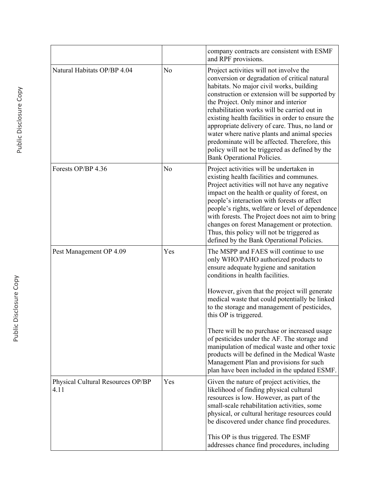|                                           |                | company contracts are consistent with ESMF<br>and RPF provisions.                                                                                                                                                                                                                                                                                                                                                                                                                                                                                                                                                                    |
|-------------------------------------------|----------------|--------------------------------------------------------------------------------------------------------------------------------------------------------------------------------------------------------------------------------------------------------------------------------------------------------------------------------------------------------------------------------------------------------------------------------------------------------------------------------------------------------------------------------------------------------------------------------------------------------------------------------------|
| Natural Habitats OP/BP 4.04               | N <sub>o</sub> | Project activities will not involve the<br>conversion or degradation of critical natural<br>habitats. No major civil works, building<br>construction or extension will be supported by<br>the Project. Only minor and interior<br>rehabilitation works will be carried out in<br>existing health facilities in order to ensure the<br>appropriate delivery of care. Thus, no land or<br>water where native plants and animal species<br>predominate will be affected. Therefore, this<br>policy will not be triggered as defined by the<br><b>Bank Operational Policies.</b>                                                         |
| Forests OP/BP 4.36                        | N <sub>0</sub> | Project activities will be undertaken in<br>existing health facilities and communes.<br>Project activities will not have any negative<br>impact on the health or quality of forest, on<br>people's interaction with forests or affect<br>people's rights, welfare or level of dependence<br>with forests. The Project does not aim to bring<br>changes on forest Management or protection.<br>Thus, this policy will not be triggered as<br>defined by the Bank Operational Policies.                                                                                                                                                |
| Pest Management OP 4.09                   | Yes            | The MSPP and FAES will continue to use<br>only WHO/PAHO authorized products to<br>ensure adequate hygiene and sanitation<br>conditions in health facilities.<br>However, given that the project will generate<br>medical waste that could potentially be linked<br>to the storage and management of pesticides,<br>this OP is triggered.<br>There will be no purchase or increased usage<br>of pesticides under the AF. The storage and<br>manipulation of medical waste and other toxic<br>products will be defined in the Medical Waste<br>Management Plan and provisions for such<br>plan have been included in the updated ESMF. |
| Physical Cultural Resources OP/BP<br>4.11 | Yes            | Given the nature of project activities, the<br>likelihood of finding physical cultural<br>resources is low. However, as part of the<br>small-scale rehabilitation activities, some<br>physical, or cultural heritage resources could<br>be discovered under chance find procedures.<br>This OP is thus triggered. The ESMF<br>addresses chance find procedures, including                                                                                                                                                                                                                                                            |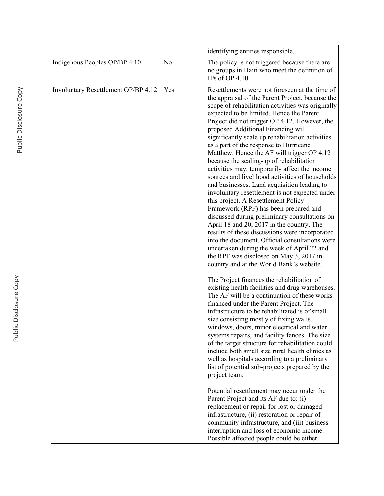|                                     |     | identifying entities responsible.                                                                                                                                                                                                                                                                                                                                                                                                                                                                                                                                                                                                                                                                                                                                                                                                                                                                                                                                                                                                                                                                                                                                                                                                                                                                                                                                                                                                                                                                                                                                                                                                                                                                                                                                                                                       |
|-------------------------------------|-----|-------------------------------------------------------------------------------------------------------------------------------------------------------------------------------------------------------------------------------------------------------------------------------------------------------------------------------------------------------------------------------------------------------------------------------------------------------------------------------------------------------------------------------------------------------------------------------------------------------------------------------------------------------------------------------------------------------------------------------------------------------------------------------------------------------------------------------------------------------------------------------------------------------------------------------------------------------------------------------------------------------------------------------------------------------------------------------------------------------------------------------------------------------------------------------------------------------------------------------------------------------------------------------------------------------------------------------------------------------------------------------------------------------------------------------------------------------------------------------------------------------------------------------------------------------------------------------------------------------------------------------------------------------------------------------------------------------------------------------------------------------------------------------------------------------------------------|
| Indigenous Peoples OP/BP 4.10       | No  | The policy is not triggered because there are<br>no groups in Haiti who meet the definition of<br>IPs of OP 4.10.                                                                                                                                                                                                                                                                                                                                                                                                                                                                                                                                                                                                                                                                                                                                                                                                                                                                                                                                                                                                                                                                                                                                                                                                                                                                                                                                                                                                                                                                                                                                                                                                                                                                                                       |
| Involuntary Resettlement OP/BP 4.12 | Yes | Resettlements were not foreseen at the time of<br>the appraisal of the Parent Project, because the<br>scope of rehabilitation activities was originally<br>expected to be limited. Hence the Parent<br>Project did not trigger OP 4.12. However, the<br>proposed Additional Financing will<br>significantly scale up rehabilitation activities<br>as a part of the response to Hurricane<br>Matthew. Hence the AF will trigger OP 4.12<br>because the scaling-up of rehabilitation<br>activities may, temporarily affect the income<br>sources and livelihood activities of households<br>and businesses. Land acquisition leading to<br>involuntary resettlement is not expected under<br>this project. A Resettlement Policy<br>Framework (RPF) has been prepared and<br>discussed during preliminary consultations on<br>April 18 and 20, 2017 in the country. The<br>results of these discussions were incorporated<br>into the document. Official consultations were<br>undertaken during the week of April 22 and<br>the RPF was disclosed on May 3, 2017 in<br>country and at the World Bank's website.<br>The Project finances the rehabilitation of<br>existing health facilities and drug warehouses.<br>The AF will be a continuation of these works<br>financed under the Parent Project. The<br>infrastructure to be rehabilitated is of small<br>size consisting mostly of fixing walls,<br>windows, doors, minor electrical and water<br>systems repairs, and facility fences. The size<br>of the target structure for rehabilitation could<br>include both small size rural health clinics as<br>well as hospitals according to a preliminary<br>list of potential sub-projects prepared by the<br>project team.<br>Potential resettlement may occur under the<br>Parent Project and its AF due to: (i) |
|                                     |     | replacement or repair for lost or damaged<br>infrastructure, (ii) restoration or repair of<br>community infrastructure, and (iii) business<br>interruption and loss of economic income.<br>Possible affected people could be either                                                                                                                                                                                                                                                                                                                                                                                                                                                                                                                                                                                                                                                                                                                                                                                                                                                                                                                                                                                                                                                                                                                                                                                                                                                                                                                                                                                                                                                                                                                                                                                     |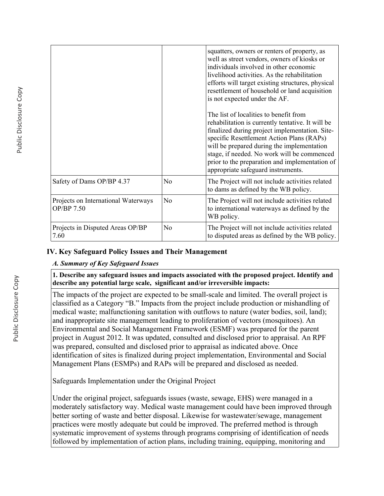|                                                   |                | squatters, owners or renters of property, as<br>well as street vendors, owners of kiosks or<br>individuals involved in other economic<br>livelihood activities. As the rehabilitation<br>efforts will target existing structures, physical<br>resettlement of household or land acquisition<br>is not expected under the AF.                                                    |
|---------------------------------------------------|----------------|---------------------------------------------------------------------------------------------------------------------------------------------------------------------------------------------------------------------------------------------------------------------------------------------------------------------------------------------------------------------------------|
|                                                   |                | The list of localities to benefit from<br>rehabilitation is currently tentative. It will be<br>finalized during project implementation. Site-<br>specific Resettlement Action Plans (RAPs)<br>will be prepared during the implementation<br>stage, if needed. No work will be commenced<br>prior to the preparation and implementation of<br>appropriate safeguard instruments. |
| Safety of Dams OP/BP 4.37                         | No             | The Project will not include activities related<br>to dams as defined by the WB policy.                                                                                                                                                                                                                                                                                         |
| Projects on International Waterways<br>OP/BP 7.50 | No             | The Project will not include activities related<br>to international waterways as defined by the<br>WB policy.                                                                                                                                                                                                                                                                   |
| Projects in Disputed Areas OP/BP<br>7.60          | N <sub>o</sub> | The Project will not include activities related<br>to disputed areas as defined by the WB policy.                                                                                                                                                                                                                                                                               |

## **IV. Key Safeguard Policy Issues and Their Management**

### *A. Summary of Key Safeguard Issues*

**1. Describe any safeguard issues and impacts associated with the proposed project. Identify and describe any potential large scale, significant and/or irreversible impacts:**

The impacts of the project are expected to be small-scale and limited. The overall project is classified as a Category "B." Impacts from the project include production or mishandling of medical waste; malfunctioning sanitation with outflows to nature (water bodies, soil, land); and inappropriate site management leading to proliferation of vectors (mosquitoes). An Environmental and Social Management Framework (ESMF) was prepared for the parent project in August 2012. It was updated, consulted and disclosed prior to appraisal. An RPF was prepared, consulted and disclosed prior to appraisal as indicated above. Once identification of sites is finalized during project implementation, Environmental and Social Management Plans (ESMPs) and RAPs will be prepared and disclosed as needed.

Safeguards Implementation under the Original Project

Under the original project, safeguards issues (waste, sewage, EHS) were managed in a moderately satisfactory way. Medical waste management could have been improved through better sorting of waste and better disposal. Likewise for wastewater/sewage, management practices were mostly adequate but could be improved. The preferred method is through systematic improvement of systems through programs comprising of identification of needs followed by implementation of action plans, including training, equipping, monitoring and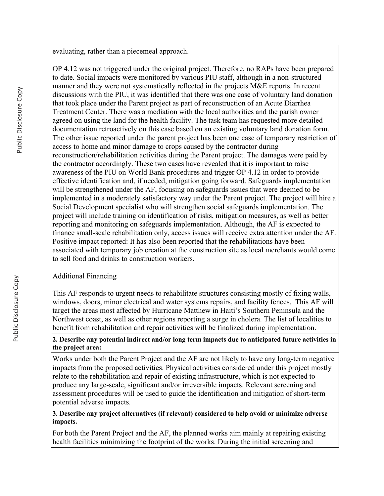evaluating, rather than a piecemeal approach.

OP 4.12 was not triggered under the original project. Therefore, no RAPs have been prepared to date. Social impacts were monitored by various PIU staff, although in a non-structured manner and they were not systematically reflected in the projects M&E reports. In recent discussions with the PIU, it was identified that there was one case of voluntary land donation that took place under the Parent project as part of reconstruction of an Acute Diarrhea Treatment Center. There was a mediation with the local authorities and the parish owner agreed on using the land for the health facility. The task team has requested more detailed documentation retroactively on this case based on an existing voluntary land donation form. The other issue reported under the parent project has been one case of temporary restriction of access to home and minor damage to crops caused by the contractor during reconstruction/rehabilitation activities during the Parent project. The damages were paid by the contractor accordingly. These two cases have revealed that it is important to raise awareness of the PIU on World Bank procedures and trigger OP 4.12 in order to provide effective identification and, if needed, mitigation going forward. Safeguards implementation will be strengthened under the AF, focusing on safeguards issues that were deemed to be implemented in a moderately satisfactory way under the Parent project. The project will hire a Social Development specialist who will strengthen social safeguards implementation. The project will include training on identification of risks, mitigation measures, as well as better reporting and monitoring on safeguards implementation. Although, the AF is expected to finance small-scale rehabilitation only, access issues will receive extra attention under the AF. Positive impact reported: It has also been reported that the rehabilitations have been associated with temporary job creation at the construction site as local merchants would come to sell food and drinks to construction workers.

# Additional Financing

This AF responds to urgent needs to rehabilitate structures consisting mostly of fixing walls, windows, doors, minor electrical and water systems repairs, and facility fences. This AF will target the areas most affected by Hurricane Matthew in Haiti's Southern Peninsula and the Northwest coast, as well as other regions reporting a surge in cholera. The list of localities to benefit from rehabilitation and repair activities will be finalized during implementation.

### **2. Describe any potential indirect and/or long term impacts due to anticipated future activities in the project area:**

Works under both the Parent Project and the AF are not likely to have any long-term negative impacts from the proposed activities. Physical activities considered under this project mostly relate to the rehabilitation and repair of existing infrastructure, which is not expected to produce any large-scale, significant and/or irreversible impacts. Relevant screening and assessment procedures will be used to guide the identification and mitigation of short-term potential adverse impacts.

## **3. Describe any project alternatives (if relevant) considered to help avoid or minimize adverse impacts.**

For both the Parent Project and the AF, the planned works aim mainly at repairing existing health facilities minimizing the footprint of the works. During the initial screening and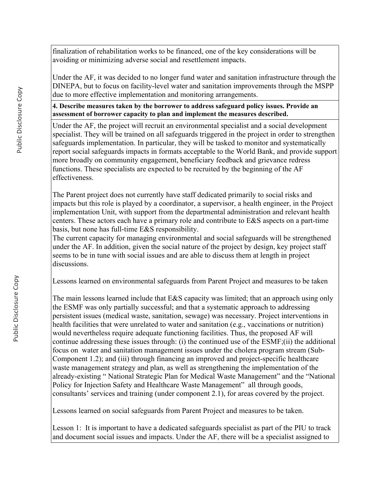finalization of rehabilitation works to be financed, one of the key considerations will be avoiding or minimizing adverse social and resettlement impacts.

Under the AF, it was decided to no longer fund water and sanitation infrastructure through the DINEPA, but to focus on facility-level water and sanitation improvements through the MSPP due to more effective implementation and monitoring arrangements.

**4. Describe measures taken by the borrower to address safeguard policy issues. Provide an assessment of borrower capacity to plan and implement the measures described.**

Under the AF, the project will recruit an environmental specialist and a social development specialist. They will be trained on all safeguards triggered in the project in order to strengthen safeguards implementation. In particular, they will be tasked to monitor and systematically report social safeguards impacts in formats acceptable to the World Bank, and provide support more broadly on community engagement, beneficiary feedback and grievance redress functions. These specialists are expected to be recruited by the beginning of the AF effectiveness.

The Parent project does not currently have staff dedicated primarily to social risks and impacts but this role is played by a coordinator, a supervisor, a health engineer, in the Project implementation Unit, with support from the departmental administration and relevant health centers. These actors each have a primary role and contribute to E&S aspects on a part-time basis, but none has full-time E&S responsibility.

The current capacity for managing environmental and social safeguards will be strengthened under the AF. In addition, given the social nature of the project by design, key project staff seems to be in tune with social issues and are able to discuss them at length in project discussions.

Lessons learned on environmental safeguards from Parent Project and measures to be taken

The main lessons learned include that E&S capacity was limited; that an approach using only the ESMF was only partially successful; and that a systematic approach to addressing persistent issues (medical waste, sanitation, sewage) was necessary. Project interventions in health facilities that were unrelated to water and sanitation (e.g., vaccinations or nutrition) would nevertheless require adequate functioning facilities. Thus, the proposed AF will continue addressing these issues through: (i) the continued use of the ESMF;(ii) the additional focus on water and sanitation management issues under the cholera program stream (Sub-Component 1.2); and (iii) through financing an improved and project-specific healthcare waste management strategy and plan, as well as strengthening the implementation of the already-existing " National Strategic Plan for Medical Waste Management" and the "National Policy for Injection Safety and Healthcare Waste Management" all through goods, consultants' services and training (under component 2.1), for areas covered by the project.

Lessons learned on social safeguards from Parent Project and measures to be taken.

Lesson 1: It is important to have a dedicated safeguards specialist as part of the PIU to track and document social issues and impacts. Under the AF, there will be a specialist assigned to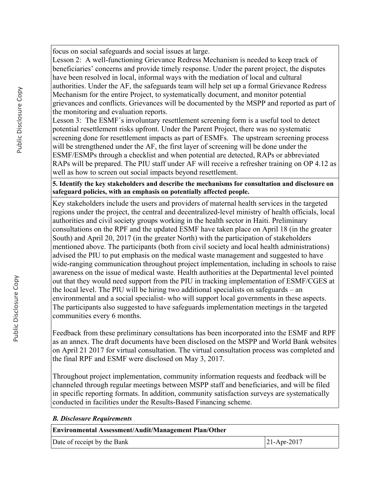focus on social safeguards and social issues at large.

Lesson 2: A well-functioning Grievance Redress Mechanism is needed to keep track of beneficiaries' concerns and provide timely response. Under the parent project, the disputes have been resolved in local, informal ways with the mediation of local and cultural authorities. Under the AF, the safeguards team will help set up a formal Grievance Redress Mechanism for the entire Project, to systematically document, and monitor potential grievances and conflicts. Grievances will be documented by the MSPP and reported as part of the monitoring and evaluation reports.

Lesson 3: The ESMF´s involuntary resettlement screening form is a useful tool to detect potential resettlement risks upfront. Under the Parent Project, there was no systematic screening done for resettlement impacts as part of ESMFs. The upstream screening process will be strengthened under the AF, the first layer of screening will be done under the ESMF/ESMPs through a checklist and when potential are detected, RAPs or abbreviated RAPs will be prepared. The PIU staff under AF will receive a refresher training on OP 4.12 as well as how to screen out social impacts beyond resettlement.

**5. Identify the key stakeholders and describe the mechanisms for consultation and disclosure on safeguard policies, with an emphasis on potentially affected people.**

Key stakeholders include the users and providers of maternal health services in the targeted regions under the project, the central and decentralized-level ministry of health officials, local authorities and civil society groups working in the health sector in Haiti. Preliminary consultations on the RPF and the updated ESMF have taken place on April 18 (in the greater South) and April 20, 2017 (in the greater North) with the participation of stakeholders mentioned above. The participants (both from civil society and local health administrations) advised the PIU to put emphasis on the medical waste management and suggested to have wide-ranging communication throughout project implementation, including in schools to raise awareness on the issue of medical waste. Health authorities at the Departmental level pointed out that they would need support from the PIU in tracking implementation of ESMF/CGES at the local level. The PIU will be hiring two additional specialists on safeguards – an environmental and a social specialist- who will support local governments in these aspects. The participants also suggested to have safeguards implementation meetings in the targeted communities every 6 months.

Feedback from these preliminary consultations has been incorporated into the ESMF and RPF as an annex. The draft documents have been disclosed on the MSPP and World Bank websites on April 21 2017 for virtual consultation. The virtual consultation process was completed and the final RPF and ESMF were disclosed on May 3, 2017.

Throughout project implementation, community information requests and feedback will be channeled through regular meetings between MSPP staff and beneficiaries, and will be filed in specific reporting formats. In addition, community satisfaction surveys are systematically conducted in facilities under the Results-Based Financing scheme.

### *B. Disclosure Requirements*

| Environmental Assessment/Audit/Management Plan/Other |                |  |  |  |  |
|------------------------------------------------------|----------------|--|--|--|--|
| Date of receipt by the Bank                          | $ 21-Apr-2017$ |  |  |  |  |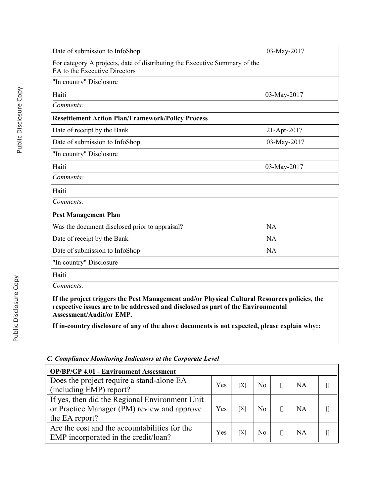| Date of submission to InfoShop                                                                                                                                                                                      | 03-May-2017    |
|---------------------------------------------------------------------------------------------------------------------------------------------------------------------------------------------------------------------|----------------|
| For category A projects, date of distributing the Executive Summary of the<br>EA to the Executive Directors                                                                                                         |                |
| "In country" Disclosure                                                                                                                                                                                             |                |
| Haiti                                                                                                                                                                                                               | $03$ -May-2017 |
| Comments:                                                                                                                                                                                                           |                |
| <b>Resettlement Action Plan/Framework/Policy Process</b>                                                                                                                                                            |                |
| Date of receipt by the Bank                                                                                                                                                                                         | 21-Apr-2017    |
| Date of submission to InfoShop                                                                                                                                                                                      | 03-May-2017    |
| "In country" Disclosure                                                                                                                                                                                             |                |
| Haiti                                                                                                                                                                                                               | 03-May-2017    |
| Comments:                                                                                                                                                                                                           |                |
| Haiti                                                                                                                                                                                                               |                |
| Comments:                                                                                                                                                                                                           |                |
| <b>Pest Management Plan</b>                                                                                                                                                                                         |                |
| Was the document disclosed prior to appraisal?                                                                                                                                                                      | NA             |
| Date of receipt by the Bank                                                                                                                                                                                         | NA             |
| Date of submission to InfoShop                                                                                                                                                                                      | NA             |
| "In country" Disclosure                                                                                                                                                                                             |                |
| Haiti                                                                                                                                                                                                               |                |
| Comments:                                                                                                                                                                                                           |                |
| If the project triggers the Pest Management and/or Physical Cultural Resources policies, the<br>respective issues are to be addressed and disclosed as part of the Environmental<br><b>Assessment/Audit/or EMP.</b> |                |
|                                                                                                                                                                                                                     |                |

# *C. Compliance Monitoring Indicators at the Corporate Level*

| <b>OP/BP/GP 4.01 - Environment Assessment</b>                                         |     |     |                |           |  |
|---------------------------------------------------------------------------------------|-----|-----|----------------|-----------|--|
| Does the project require a stand-alone EA                                             | Yes | [X] | N <sub>0</sub> | <b>NA</b> |  |
| (including EMP) report?                                                               |     |     |                |           |  |
| If yes, then did the Regional Environment Unit                                        |     |     |                |           |  |
| or Practice Manager (PM) review and approve                                           |     | [X] | N <sub>0</sub> | <b>NA</b> |  |
| the EA report?                                                                        |     |     |                |           |  |
| Are the cost and the accountabilities for the<br>EMP incorporated in the credit/loan? | Yes | [X] | No.            | <b>NA</b> |  |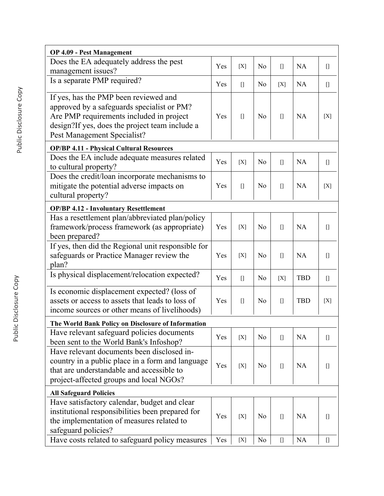| <b>OP 4.09 - Pest Management</b>                                                                                                                                                                                 |     |                                                                                                                                                                                          |                |                                                                                                                                                                 |            |                                                                                                                                                                                                                                                                                                                                                                      |
|------------------------------------------------------------------------------------------------------------------------------------------------------------------------------------------------------------------|-----|------------------------------------------------------------------------------------------------------------------------------------------------------------------------------------------|----------------|-----------------------------------------------------------------------------------------------------------------------------------------------------------------|------------|----------------------------------------------------------------------------------------------------------------------------------------------------------------------------------------------------------------------------------------------------------------------------------------------------------------------------------------------------------------------|
| Does the EA adequately address the pest<br>management issues?                                                                                                                                                    | Yes | [X]                                                                                                                                                                                      | N <sub>0</sub> | $\begin{bmatrix} 1 \end{bmatrix}$                                                                                                                               | <b>NA</b>  | $[$                                                                                                                                                                                                                                                                                                                                                                  |
| Is a separate PMP required?                                                                                                                                                                                      | Yes | $\begin{bmatrix} 1 \end{bmatrix}$                                                                                                                                                        | N <sub>0</sub> | [X]                                                                                                                                                             | <b>NA</b>  |                                                                                                                                                                                                                                                                                                                                                                      |
| If yes, has the PMP been reviewed and<br>approved by a safeguards specialist or PM?<br>Are PMP requirements included in project<br>design?If yes, does the project team include a<br>Pest Management Specialist? | Yes | $\begin{bmatrix} 1 \end{bmatrix}$                                                                                                                                                        | N <sub>0</sub> | $[$                                                                                                                                                             | <b>NA</b>  | [X]                                                                                                                                                                                                                                                                                                                                                                  |
| <b>OP/BP 4.11 - Physical Cultural Resources</b>                                                                                                                                                                  |     |                                                                                                                                                                                          |                |                                                                                                                                                                 |            |                                                                                                                                                                                                                                                                                                                                                                      |
| Does the EA include adequate measures related<br>to cultural property?                                                                                                                                           | Yes | [X]                                                                                                                                                                                      | N <sub>0</sub> | $\begin{bmatrix} 1 \end{bmatrix}$                                                                                                                               | <b>NA</b>  | $[$                                                                                                                                                                                                                                                                                                                                                                  |
| Does the credit/loan incorporate mechanisms to<br>mitigate the potential adverse impacts on<br>cultural property?                                                                                                | Yes | $[] \centering \includegraphics[width=0.47\textwidth]{images/TrDiS-Architecture.png} \caption{The 3D (top) and 4D (bottom) are shown in the left and right.} \label{TrDiS-Architecture}$ | N <sub>0</sub> | $\begin{bmatrix} 1 \end{bmatrix}$                                                                                                                               | <b>NA</b>  | [X]                                                                                                                                                                                                                                                                                                                                                                  |
| <b>OP/BP 4.12 - Involuntary Resettlement</b>                                                                                                                                                                     |     |                                                                                                                                                                                          |                |                                                                                                                                                                 |            |                                                                                                                                                                                                                                                                                                                                                                      |
| Has a resettlement plan/abbreviated plan/policy<br>framework/process framework (as appropriate)<br>been prepared?                                                                                                | Yes | [X]                                                                                                                                                                                      | No             | $\begin{bmatrix} 1 \end{bmatrix}$                                                                                                                               | <b>NA</b>  | $[$                                                                                                                                                                                                                                                                                                                                                                  |
| If yes, then did the Regional unit responsible for<br>safeguards or Practice Manager review the<br>plan?                                                                                                         | Yes | [X]                                                                                                                                                                                      | N <sub>o</sub> | $\begin{bmatrix} 1 \end{bmatrix}$                                                                                                                               | <b>NA</b>  | $[]$                                                                                                                                                                                                                                                                                                                                                                 |
| Is physical displacement/relocation expected?                                                                                                                                                                    | Yes | $\begin{bmatrix} 1 \end{bmatrix}$                                                                                                                                                        | N <sub>0</sub> | [X]                                                                                                                                                             | <b>TBD</b> | $[$                                                                                                                                                                                                                                                                                                                                                                  |
| Is economic displacement expected? (loss of<br>assets or access to assets that leads to loss of<br>income sources or other means of livelihoods)                                                                 | Yes |                                                                                                                                                                                          | N <sub>0</sub> | $[$                                                                                                                                                             | <b>TBD</b> | [X]                                                                                                                                                                                                                                                                                                                                                                  |
| The World Bank Policy on Disclosure of Information                                                                                                                                                               |     |                                                                                                                                                                                          |                |                                                                                                                                                                 |            |                                                                                                                                                                                                                                                                                                                                                                      |
| Have relevant safeguard policies documents<br>been sent to the World Bank's Infoshop?                                                                                                                            | Yes | [X]                                                                                                                                                                                      | N <sub>0</sub> | $\begin{bmatrix} 1 \end{bmatrix}$                                                                                                                               | NA         | $[$                                                                                                                                                                                                                                                                                                                                                                  |
| Have relevant documents been disclosed in-<br>country in a public place in a form and language<br>that are understandable and accessible to<br>project-affected groups and local NGOs?                           | Yes | [X]                                                                                                                                                                                      | N <sub>0</sub> |                                                                                                                                                                 | <b>NA</b>  | $[]$                                                                                                                                                                                                                                                                                                                                                                 |
| <b>All Safeguard Policies</b>                                                                                                                                                                                    |     |                                                                                                                                                                                          |                |                                                                                                                                                                 |            |                                                                                                                                                                                                                                                                                                                                                                      |
| Have satisfactory calendar, budget and clear<br>institutional responsibilities been prepared for<br>the implementation of measures related to<br>safeguard policies?                                             | Yes | [X]                                                                                                                                                                                      | N <sub>0</sub> | $[$                                                                                                                                                             | <b>NA</b>  | $[] \centering \includegraphics[width=0.47\textwidth]{images/Transr1.png} \caption{The 3D (black) model for the 3D (black) model. The 3D (black) model is shown in the left and right.} \label{fig:class}$                                                                                                                                                           |
| Have costs related to safeguard policy measures                                                                                                                                                                  | Yes | $[X]$                                                                                                                                                                                    | N <sub>o</sub> | $[] \centering \includegraphics[width=0.47\textwidth]{images/TrDiM1.png} \caption{The 3D (blue) and 4D (blue) are shown in the left and right.} \label{TrDiM1}$ | NA         | $[] \centering \includegraphics[width=0.47\textwidth]{images/TransY_1.png} \caption{The first two different values of $100$ K, $100$ K, $100$ K, $100$ K, $100$ K, $100$ K, $100$ K, $100$ K, $100$ K, $100$ K, $100$ K, $100$ K, $100$ K, $100$ K, $100$ K, $100$ K, $100$ K, $100$ K, $100$ K, $100$ K, $100$ K, $100$ K, $100$ K, $100$ K, $100$ K, $100$ K, $10$ |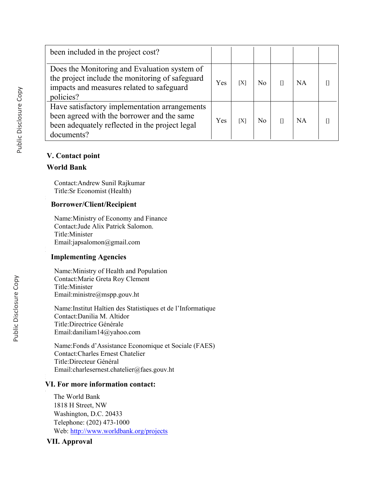| been included in the project cost?                                                                                                                          |     |     |     |    |  |
|-------------------------------------------------------------------------------------------------------------------------------------------------------------|-----|-----|-----|----|--|
| Does the Monitoring and Evaluation system of<br>the project include the monitoring of safeguard<br>impacts and measures related to safeguard<br>policies?   | Yes | [X] | No. | NA |  |
| Have satisfactory implementation arrangements<br>been agreed with the borrower and the same<br>been adequately reflected in the project legal<br>documents? | Yes | [X] | Nο  | NA |  |

### **V. Contact point**

### **World Bank**

Contact:Andrew Sunil Rajkumar Title:Sr Economist (Health)

### **Borrower/Client/Recipient**

Name:Ministry of Economy and Finance Contact:Jude Alix Patrick Salomon. Title:Minister Email:japsalomon@gmail.com

### **Implementing Agencies**

Name:Ministry of Health and Population Contact:Marie Greta Roy Clement Title:Minister Email:ministre@mspp.gouv.ht

Name:Institut Haïtien des Statistiques et de l'Informatique Contact:Danilia M. Altidor Title:Directrice Générale Email:daniliam14@yahoo.com

Name:Fonds d'Assistance Economique et Sociale (FAES) Contact:Charles Ernest Chatelier Title:Directeur Général Email:charlesernest.chatelier@faes.gouv.ht

### **VI. For more information contact:**

The World Bank 1818 H Street, NW Washington, D.C. 20433 Telephone: (202) 473-1000 Web:<http://www.worldbank.org/projects>

### **VII. Approval**

.